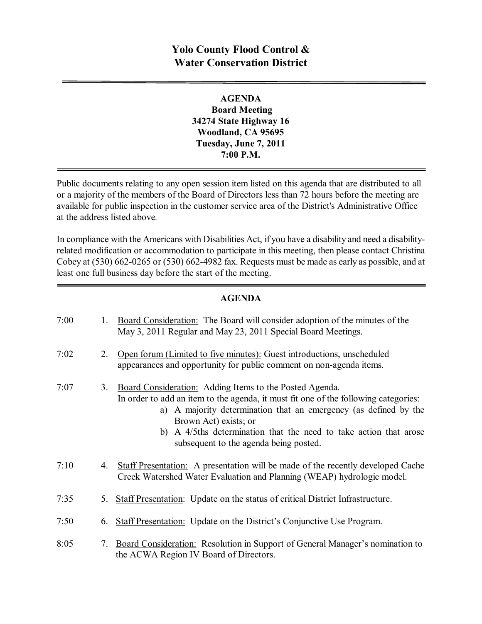# **Yolo County Flood Control & Water Conservation District**

**AGENDA Board Meeting 34274 State Highway 16 Woodland, CA 95695 Tuesday, June 7, 2011 7:00 P.M.**

Public documents relating to any open session item listed on this agenda that are distributed to all or a majority of the members of the Board of Directors less than 72 hours before the meeting are available for public inspection in the customer service area of the District's Administrative Office at the address listed above*.*

In compliance with the Americans with Disabilities Act, if you have a disability and need a disabilityrelated modification or accommodation to participate in this meeting, then please contact Christina Cobey at  $(530)$  662-0265 or  $(530)$  662-4982 fax. Requests must be made as early as possible, and at least one full business day before the start of the meeting.

#### **AGENDA**

| 7:00 | $1_{-}$ | Board Consideration: The Board will consider adoption of the minutes of the<br>May 3, 2011 Regular and May 23, 2011 Special Board Meetings.                                                                                                                                                                                                                |
|------|---------|------------------------------------------------------------------------------------------------------------------------------------------------------------------------------------------------------------------------------------------------------------------------------------------------------------------------------------------------------------|
| 7:02 | 2.      | Open forum (Limited to five minutes): Guest introductions, unscheduled<br>appearances and opportunity for public comment on non-agenda items.                                                                                                                                                                                                              |
| 7:07 | 3.      | Board Consideration: Adding Items to the Posted Agenda.<br>In order to add an item to the agenda, it must fit one of the following categories:<br>a) A majority determination that an emergency (as defined by the<br>Brown Act) exists; or<br>b) A 4/5ths determination that the need to take action that arose<br>subsequent to the agenda being posted. |
| 7:10 | 4.      | Staff Presentation: A presentation will be made of the recently developed Cache<br>Creek Watershed Water Evaluation and Planning (WEAP) hydrologic model.                                                                                                                                                                                                  |
| 7:35 |         | 5. Staff Presentation: Update on the status of critical District Infrastructure.                                                                                                                                                                                                                                                                           |
| 7:50 | 6.      | <b>Staff Presentation:</b> Update on the District's Conjunctive Use Program.                                                                                                                                                                                                                                                                               |
| 8:05 | 7.      | Board Consideration: Resolution in Support of General Manager's nomination to<br>the ACWA Region IV Board of Directors.                                                                                                                                                                                                                                    |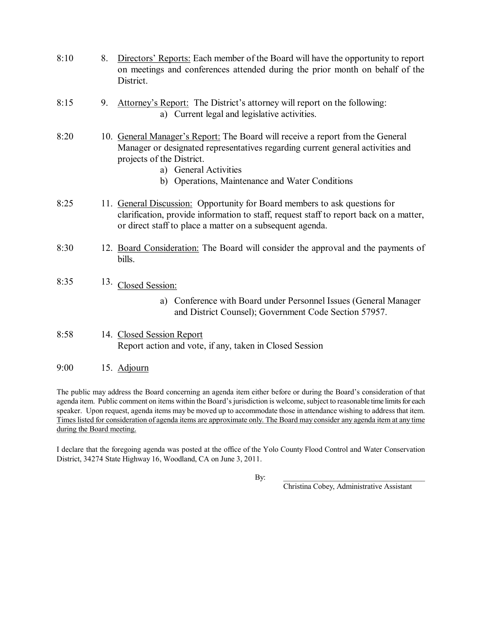- 8:10 8. Directors' Reports: Each member of the Board will have the opportunity to report on meetings and conferences attended during the prior month on behalf of the District.
- 8:15 9. Attorney's Report: The District's attorney will report on the following: a) Current legal and legislative activities.
- 8:20 10. General Manager's Report: The Board will receive a report from the General Manager or designated representatives regarding current general activities and projects of the District.
	- a) General Activities
	- b) Operations, Maintenance and Water Conditions
- 8:25 11. General Discussion: Opportunity for Board members to ask questions for clarification, provide information to staff, request staff to report back on a matter, or direct staff to place a matter on a subsequent agenda.
- 8:30 12. Board Consideration: The Board will consider the approval and the payments of bills.
- 8:35  $13.$  Closed Session:
	- a) Conference with Board under Personnel Issues (General Manager and District Counsel); Government Code Section 57957.
- 8:58 14. Closed Session Report Report action and vote, if any, taken in Closed Session
- 9:00 15. Adjourn

The public may address the Board concerning an agenda item either before or during the Board's consideration of that agenda item. Public comment on items within the Board's jurisdiction is welcome, subject to reasonable time limits for each speaker. Upon request, agenda items may be moved up to accommodate those in attendance wishing to address that item. Times listed for consideration of agenda items are approximate only. The Board may consider any agenda item at any time during the Board meeting.

I declare that the foregoing agenda was posted at the office of the Yolo County Flood Control and Water Conservation District, 34274 State Highway 16, Woodland, CA on June 3, 2011.

By: \_\_\_\_\_\_\_\_\_\_\_\_\_\_\_\_\_\_\_\_\_\_\_\_\_\_\_\_\_\_\_\_\_\_\_\_\_

Christina Cobey, Administrative Assistant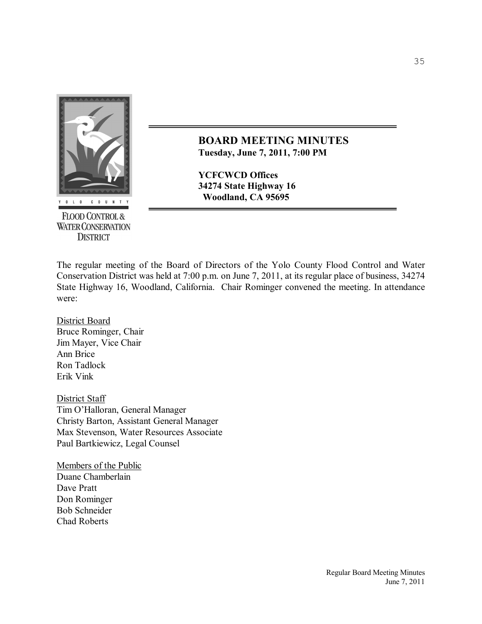

**FLOOD CONTROL & WATER CONSERVATION DISTRICT** 

**BOARD MEETING MINUTES Tuesday, June 7, 2011, 7:00 PM** 

**YCFCWCD Offices 34274 State Highway 16 Woodland, CA 95695**

The regular meeting of the Board of Directors of the Yolo County Flood Control and Water Conservation District was held at 7:00 p.m. on June 7, 2011, at its regular place of business, 34274 State Highway 16, Woodland, California. Chair Rominger convened the meeting. In attendance were:

District Board Bruce Rominger, Chair Jim Mayer, Vice Chair Ann Brice Ron Tadlock Erik Vink

District Staff Tim O'Halloran, General Manager Christy Barton, Assistant General Manager Max Stevenson, Water Resources Associate Paul Bartkiewicz, Legal Counsel

Members of the Public Duane Chamberlain Dave Pratt Don Rominger Bob Schneider Chad Roberts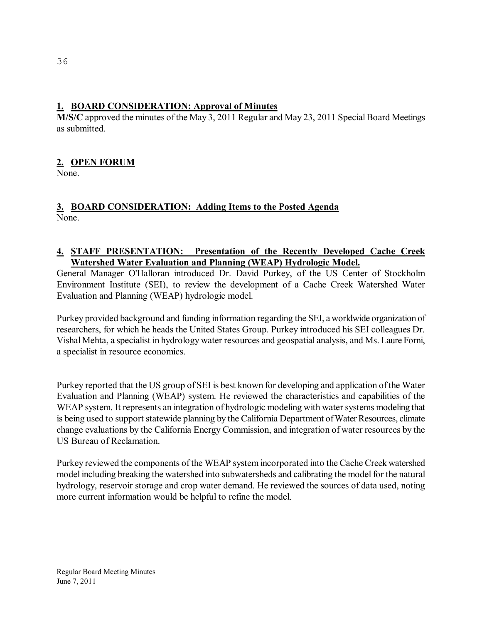## **1. BOARD CONSIDERATION: Approval of Minutes**

 $\overline{M}/S/C$  approved the minutes of the May 3, 2011 Regular and May 23, 2011 Special Board Meetings as submitted.

## **2. OPEN FORUM**

None.

#### **3. BOARD CONSIDERATION: Adding Items to the Posted Agenda** None.

#### **4. STAFF PRESENTATION: Presentation of the Recently Developed Cache Creek Watershed Water Evaluation and Planning (WEAP) Hydrologic Model.**

General Manager O'Halloran introduced Dr. David Purkey, of the US Center of Stockholm Environment Institute (SEI), to review the development of a Cache Creek Watershed Water Evaluation and Planning (WEAP) hydrologic model.

Purkey provided background and funding information regarding the SEI, a worldwide organization of researchers, for which he heads the United States Group. Purkey introduced his SEI colleagues Dr. Vishal Mehta, a specialist in hydrology water resources and geospatial analysis, and Ms. Laure Forni, a specialist in resource economics.

Purkey reported that the US group of SEI is best known for developing and application of the Water Evaluation and Planning (WEAP) system. He reviewed the characteristics and capabilities of the WEAP system. It represents an integration of hydrologic modeling with water systems modeling that is being used to support statewide planning by the California Department of Water Resources, climate change evaluations by the California Energy Commission, and integration of water resources by the US Bureau of Reclamation.

Purkey reviewed the components of the WEAP system incorporated into the Cache Creek watershed model including breaking the watershed into subwatersheds and calibrating the model for the natural hydrology, reservoir storage and crop water demand. He reviewed the sources of data used, noting more current information would be helpful to refine the model.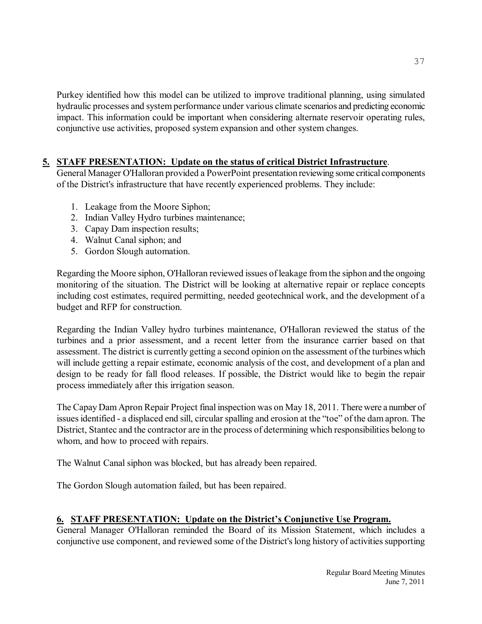Purkey identified how this model can be utilized to improve traditional planning, using simulated hydraulic processes and system performance under various climate scenarios and predicting economic impact. This information could be important when considering alternate reservoir operating rules, conjunctive use activities, proposed system expansion and other system changes.

## **5. STAFF PRESENTATION: Update on the status of critical District Infrastructure**.

General Manager O'Halloran provided a PowerPoint presentation reviewing some critical components of the District's infrastructure that have recently experienced problems. They include:

- 1. Leakage from the Moore Siphon;
- 2. Indian Valley Hydro turbines maintenance;
- 3. Capay Dam inspection results;
- 4. Walnut Canal siphon; and
- 5. Gordon Slough automation.

Regarding the Moore siphon, O'Halloran reviewed issues of leakage from the siphon and the ongoing monitoring of the situation. The District will be looking at alternative repair or replace concepts including cost estimates, required permitting, needed geotechnical work, and the development of a budget and RFP for construction.

Regarding the Indian Valley hydro turbines maintenance, O'Halloran reviewed the status of the turbines and a prior assessment, and a recent letter from the insurance carrier based on that assessment. The district is currently getting a second opinion on the assessment of the turbines which will include getting a repair estimate, economic analysis of the cost, and development of a plan and design to be ready for fall flood releases. If possible, the District would like to begin the repair process immediately after this irrigation season.

The Capay Dam Apron Repair Project final inspection was on May 18, 2011. There were a number of issues identified - a displaced end sill, circular spalling and erosion at the "toe" of the dam apron. The District, Stantec and the contractor are in the process of determining which responsibilities belong to whom, and how to proceed with repairs.

The Walnut Canal siphon was blocked, but has already been repaired.

The Gordon Slough automation failed, but has been repaired.

## **6. STAFF PRESENTATION: Update on the District's Conjunctive Use Program.**

General Manager O'Halloran reminded the Board of its Mission Statement, which includes a conjunctive use component, and reviewed some of the District's long history of activities supporting

37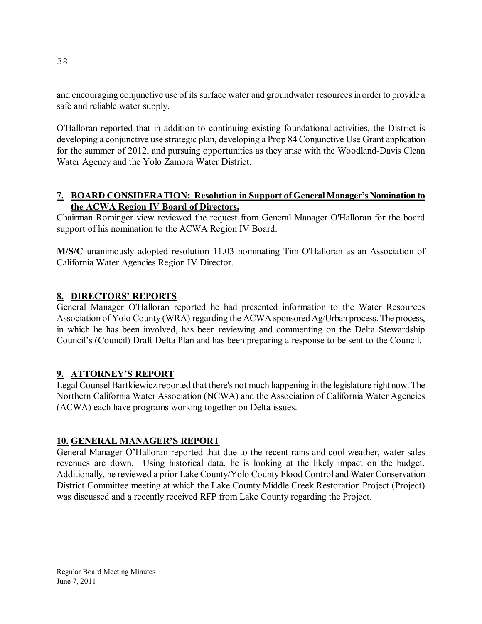and encouraging conjunctive use of its surface water and groundwater resources in order to provide a safe and reliable water supply.

O'Halloran reported that in addition to continuing existing foundational activities, the District is developing a conjunctive use strategic plan, developing a Prop 84 Conjunctive Use Grant application for the summer of 2012, and pursuing opportunities as they arise with the Woodland-Davis Clean Water Agency and the Yolo Zamora Water District.

#### **7. BOARD CONSIDERATION: Resolution in Support of GeneralManager's Nomination to the ACWA Region IV Board of Directors.**

Chairman Rominger view reviewed the request from General Manager O'Halloran for the board support of his nomination to the ACWA Region IV Board.

**M/S/C** unanimously adopted resolution 11.03 nominating Tim O'Halloran as an Association of California Water Agencies Region IV Director.

#### **8. DIRECTORS' REPORTS**

General Manager O'Halloran reported he had presented information to the Water Resources Association of Yolo County (WRA) regarding the ACWA sponsored Ag/Urban process. The process, in which he has been involved, has been reviewing and commenting on the Delta Stewardship Council's (Council) Draft Delta Plan and has been preparing a response to be sent to the Council.

#### **9. ATTORNEY'S REPORT**

Legal Counsel Bartkiewicz reported that there's not much happening in the legislature right now. The Northern California Water Association (NCWA) and the Association of California Water Agencies (ACWA) each have programs working together on Delta issues.

#### **10. GENERAL MANAGER'S REPORT**

General Manager O'Halloran reported that due to the recent rains and cool weather, water sales revenues are down. Using historical data, he is looking at the likely impact on the budget. Additionally, he reviewed a prior Lake County/Yolo County Flood Control and Water Conservation District Committee meeting at which the Lake County Middle Creek Restoration Project (Project) was discussed and a recently received RFP from Lake County regarding the Project.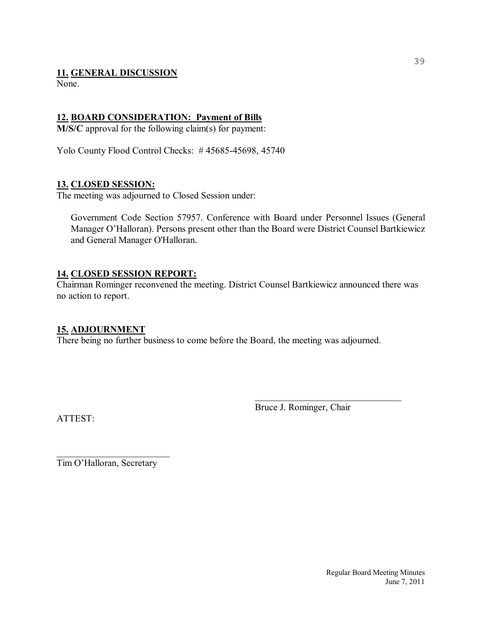#### **11. GENERAL DISCUSSION**

None.

## **12. BOARD CONSIDERATION: Payment of Bills**

**M/S/C** approval for the following claim(s) for payment:

Yolo County Flood Control Checks: #45685-45698, 45740

#### **13. CLOSED SESSION:**

The meeting was adjourned to Closed Session under:

Government Code Section 57957. Conference with Board under Personnel Issues (General Manager O'Halloran). Persons present other than the Board were District Counsel Bartkiewicz and General Manager O'Halloran.

### **14. CLOSED SESSION REPORT:**

Chairman Rominger reconvened the meeting. District Counsel Bartkiewicz announced there was no action to report.

#### **15. ADJOURNMENT**

There being no further business to come before the Board, the meeting was adjourned.

ATTEST:

Bruce J. Rominger, Chair

 $\mathcal{L}_\text{max}$  , and the set of the set of the set of the set of the set of the set of the set of the set of the set of the set of the set of the set of the set of the set of the set of the set of the set of the set of the

 $\overline{\phantom{a}}$  , which is a set of the set of the set of the set of the set of the set of the set of the set of the set of the set of the set of the set of the set of the set of the set of the set of the set of the set of th Tim O'Halloran, Secretary